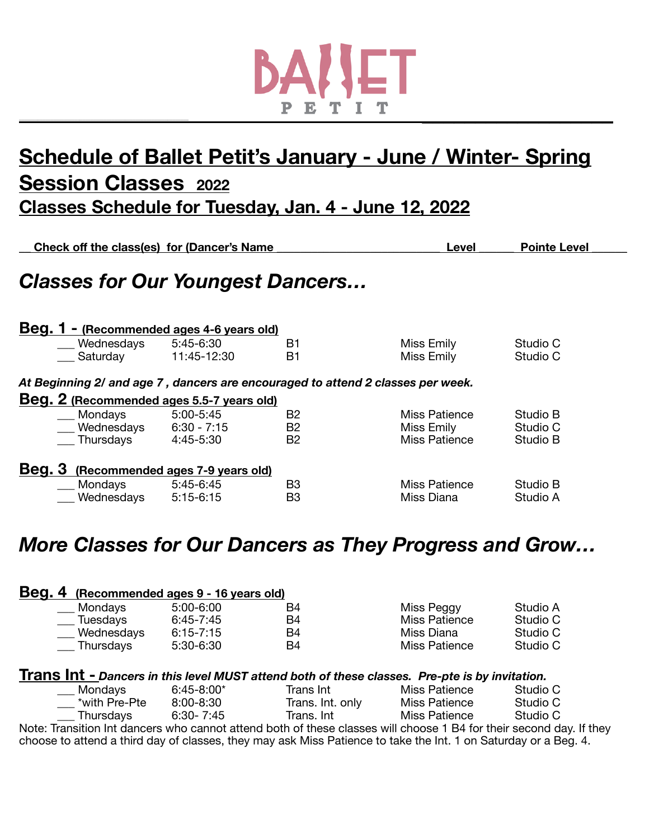

# **Schedule of Ballet Petit's January - June / Winter- Spring Session Classes 2022 Classes Schedule for Tuesday, Jan. 4 - June 12, 2022**

| Check off the class(es) for (Dancer's Name                                      |                                  |                | Level         | <b>Pointe Level</b> |  |
|---------------------------------------------------------------------------------|----------------------------------|----------------|---------------|---------------------|--|
| <b>Classes for Our Youngest Dancers</b>                                         |                                  |                |               |                     |  |
| Beg. 1 - (Recommended ages 4-6 years old)                                       |                                  |                |               |                     |  |
| Wednesdays                                                                      | 5:45-6:30                        | B1             | Miss Emily    | Studio C            |  |
| Saturday 11:45-12:30                                                            |                                  | B <sub>1</sub> | Miss Emily    | Studio C            |  |
| At Beginning 2/ and age 7, dancers are encouraged to attend 2 classes per week. |                                  |                |               |                     |  |
| Beg. 2 (Recommended ages 5.5-7 years old)                                       |                                  |                |               |                     |  |
| Mondays                                                                         | 5:00-5:45                        | B <sub>2</sub> | Miss Patience | Studio B            |  |
| Wednesdays $6:30 - 7:15$                                                        |                                  | <b>B2</b>      | Miss Emily    | Studio C            |  |
| Thursdays 4:45-5:30                                                             |                                  | <b>B2</b>      | Miss Patience | Studio B            |  |
| Beg. 3                                                                          | (Recommended ages 7-9 years old) |                |               |                     |  |
| Mondays                                                                         | 5:45-6:45                        | B <sub>3</sub> | Miss Patience | Studio B            |  |
| Wednesdays                                                                      | $5:15-6:15$                      | B <sub>3</sub> | Miss Diana    | Studio A            |  |

# *More Classes for Our Dancers as They Progress and Grow…*

#### **Beg. 4 (Recommended ages 9 - 16 years old)**

| Mondays    | $5:00-6:00$   | B4 | Miss Peggy    | Studio A |
|------------|---------------|----|---------------|----------|
| Tuesdays   | $6.45 - 7.45$ | Β4 | Miss Patience | Studio C |
| Wednesdays | $6:15 - 7:15$ | Β4 | Miss Diana    | Studio C |
| Thursdays  | 5:30-6:30     | Β4 | Miss Patience | Studio C |

#### **Trans Int -** *Dancers in this level MUST attend both of these classes. Pre-pte is by invitation.*

| <b>Mondays</b> | $6:45 - 8:00^*$ | Trans Int        | Miss Patience | Studio C |
|----------------|-----------------|------------------|---------------|----------|
| *with Pre-Pte* | $8:00 - 8:30$   | Trans. Int. only | Miss Patience | Studio C |
| Thursdays      | 6:30-7:45       | Trans. Int       | Miss Patience | Studio C |

Note: Transition Int dancers who cannot attend both of these classes will choose 1 B4 for their second day. If they choose to attend a third day of classes, they may ask Miss Patience to take the Int. 1 on Saturday or a Beg. 4.